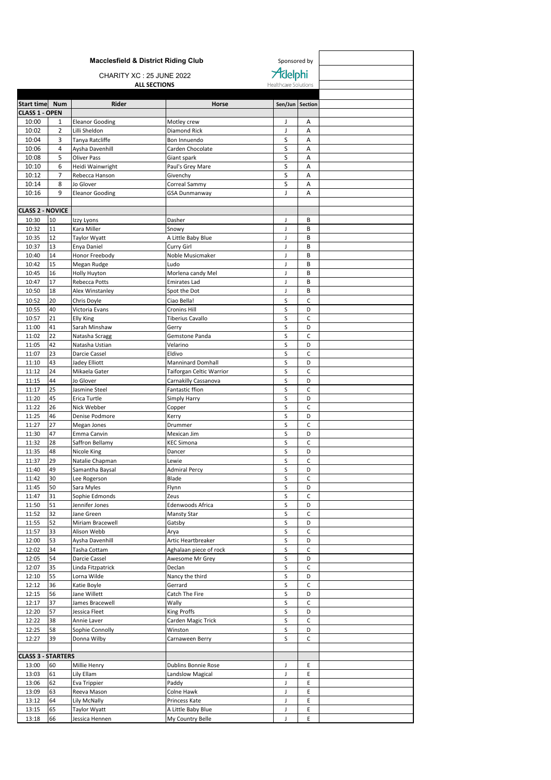|                                |                | <b>Macclesfield &amp; District Riding Club</b> |                                     | Sponsored by         |                   |  |
|--------------------------------|----------------|------------------------------------------------|-------------------------------------|----------------------|-------------------|--|
| CHARITY XC: 25 JUNE 2022       |                |                                                |                                     | Adelphi              |                   |  |
|                                |                | <b>ALL SECTIONS</b>                            |                                     | Healthcare Solutions |                   |  |
|                                |                |                                                |                                     |                      |                   |  |
| Start time Num                 |                | Rider                                          | Horse                               | Sen/Jun Section      |                   |  |
| <b>CLASS 1 - OPEN</b><br>10:00 | 1              | <b>Eleanor Gooding</b>                         | Motley crew                         | J                    | Α                 |  |
| 10:02                          | $\overline{2}$ | Lilli Sheldon                                  | Diamond Rick                        | J                    | Α                 |  |
| 10:04                          | 3              | Tanya Ratcliffe                                | Bon Innuendo                        | S                    | A                 |  |
| 10:06                          | 4              | Aysha Davenhill                                | Carden Chocolate                    | S                    | Α                 |  |
| 10:08                          | 5              | Oliver Pass                                    | Giant spark                         | S                    | A                 |  |
| 10:10<br>10:12                 | 6<br>7         | Heidi Wainwright<br>Rebecca Hanson             | Paul's Grey Mare                    | S<br>S               | Α<br>Α            |  |
| 10:14                          | 8              | Jo Glover                                      | Givenchy<br>Correal Sammy           | S                    | A                 |  |
| 10:16                          | 9              | <b>Eleanor Gooding</b>                         | <b>GSA Dunmanway</b>                | T                    | A                 |  |
|                                |                |                                                |                                     |                      |                   |  |
| <b>CLASS 2 - NOVICE</b>        |                |                                                |                                     |                      |                   |  |
| 10:30                          | 10             | Izzy Lyons                                     | Dasher                              | J                    | B                 |  |
| 10:32<br>10:35                 | 11<br>12       | Kara Miller<br><b>Taylor Wyatt</b>             | Snowy<br>A Little Baby Blue         | J<br>J               | B<br>B            |  |
| 10:37                          | 13             | Enya Daniel                                    | Curry Girl                          | J                    | B                 |  |
| 10:40                          | 14             | Honor Freebody                                 | Noble Musicmaker                    | J                    | B                 |  |
| 10:42                          | 15             | Megan Rudge                                    | Ludo                                | J                    | В                 |  |
| 10:45                          | 16             | Holly Huyton                                   | Morlena candy Mel                   | J                    | B                 |  |
| 10:47<br>10:50                 | 17<br>18       | Rebecca Potts<br>Alex Winstanley               | <b>Emirates Lad</b><br>Spot the Dot | J<br>J               | В<br>B            |  |
| 10:52                          | 20             | Chris Doyle                                    | Ciao Bella!                         | S                    | C                 |  |
| 10:55                          | 40             | Victoria Evans                                 | <b>Cronins Hill</b>                 | S                    | D                 |  |
| 10:57                          | 21             | Elly King                                      | <b>Tiberius Cavallo</b>             | S                    | C                 |  |
| 11:00                          | 41             | Sarah Minshaw                                  | Gerry                               | S                    | D                 |  |
| 11:02                          | 22             | Natasha Scragg                                 | Gemstone Panda                      | S                    | С                 |  |
| 11:05<br>11:07                 | 42<br>23       | Natasha Ustian<br>Darcie Cassel                | Velarino<br>Eldivo                  | S<br>S               | D<br>C            |  |
| 11:10                          | 43             | Jadey Elliott                                  | <b>Manninard Domhall</b>            | S                    | D                 |  |
| 11:12                          | 24             | Mikaela Gater                                  | Taiforgan Celtic Warrior            | S                    | $\mathsf{C}$      |  |
| 11:15                          | 44             | Jo Glover                                      | Carnakilly Cassanova                | S                    | D                 |  |
| 11:17                          | 25             | Jasmine Steel                                  | Fantastic ffion                     | S                    | C                 |  |
| 11:20<br>11:22                 | 45             | Erica Turtle                                   | Simply Harry                        | S<br>S               | D<br>C            |  |
| 11:25                          | 26<br>46       | Nick Webber<br>Denise Podmore                  | Copper<br>Kerry                     | S                    | D                 |  |
| 11:27                          | 27             | Megan Jones                                    | Drummer                             | S                    | C                 |  |
| 11:30                          | 47             | Emma Canvin                                    | Mexican Jim                         | S                    | D                 |  |
| 11:32                          | 28             | Saffron Bellamy                                | <b>KEC Simona</b>                   | S                    | C                 |  |
| 11:35                          | 48             | Nicole King                                    | Dancer                              | S                    | D<br>Ċ            |  |
| 11:37<br>11:40                 | 29<br>49       | Natalie Chapman<br>Samantha Baysal             | Lewie<br><b>Admiral Percy</b>       | S<br>S               | D                 |  |
| 11:42                          | 30             | Lee Rogerson                                   | Blade                               | S                    | C                 |  |
| 11:45                          | 50             | Sara Myles                                     | Flynn                               | S                    | D                 |  |
| 11:47                          | 31             | Sophie Edmonds                                 | Zeus                                | S                    | $\mathsf{C}$      |  |
| 11:50                          | 51             | Jennifer Jones                                 | Edenwoods Africa                    | S                    | D                 |  |
| 11:52<br>11:55                 | 32<br>52       | Jane Green                                     | Mansty Star                         | S<br>S               | C<br>D            |  |
| 11:57                          | 33             | Miriam Bracewell<br>Alison Webb                | Gatsby<br>Arya                      | S                    | $\mathsf C$       |  |
| 12:00                          | 53             | Aysha Davenhill                                | Artic Heartbreaker                  | S                    | D                 |  |
| 12:02                          | 34             | Tasha Cottam                                   | Aghalaan piece of rock              | s                    | $\mathsf{C}$      |  |
| 12:05                          | 54             | Darcie Cassel                                  | Awesome Mr Grey                     | S                    | D                 |  |
| 12:07                          | 35             | Linda Fitzpatrick                              | Declan                              | S                    | C                 |  |
| 12:10<br>12:12                 | 55<br>36       | Lorna Wilde<br>Katie Boyle                     | Nancy the third<br>Gerrard          | $\sf S$<br>S         | D<br>C            |  |
| 12:15                          | 56             | Jane Willett                                   | Catch The Fire                      | s                    | D                 |  |
| 12:17                          | 37             | James Bracewell                                | Wally                               | S                    | C                 |  |
| 12:20                          | 57             | Jessica Fleet                                  | King Proffs                         | S                    | D                 |  |
| 12:22                          | 38             | Annie Laver                                    | Carden Magic Trick                  | S                    | $\mathsf{C}$      |  |
| 12:25                          | 58             | Sophie Connolly                                | Winston                             | S                    | D<br>$\mathsf{C}$ |  |
| 12:27                          | 39             | Donna Wilby                                    | Carnaween Berry                     | s                    |                   |  |
| <b>CLASS 3 - STARTERS</b>      |                |                                                |                                     |                      |                   |  |
| 13:00                          | 60             | Millie Henry                                   | Dublins Bonnie Rose                 | J                    | E                 |  |
| 13:03                          | 61             | Lily Ellam                                     | Landslow Magical                    | J                    | E                 |  |
| 13:06                          | 62             | Eva Trippier                                   | Paddy                               | J                    | E                 |  |
| 13:09<br>13:12                 | 63<br>64       | Reeva Mason<br>Lily McNally                    | Colne Hawk<br>Princess Kate         | J<br>J               | E<br>E            |  |
| 13:15                          | 65             | Taylor Wyatt                                   | A Little Baby Blue                  | J                    | E                 |  |
| 13:18                          | 66             | Jessica Hennen                                 | My Country Belle                    | J                    | E                 |  |